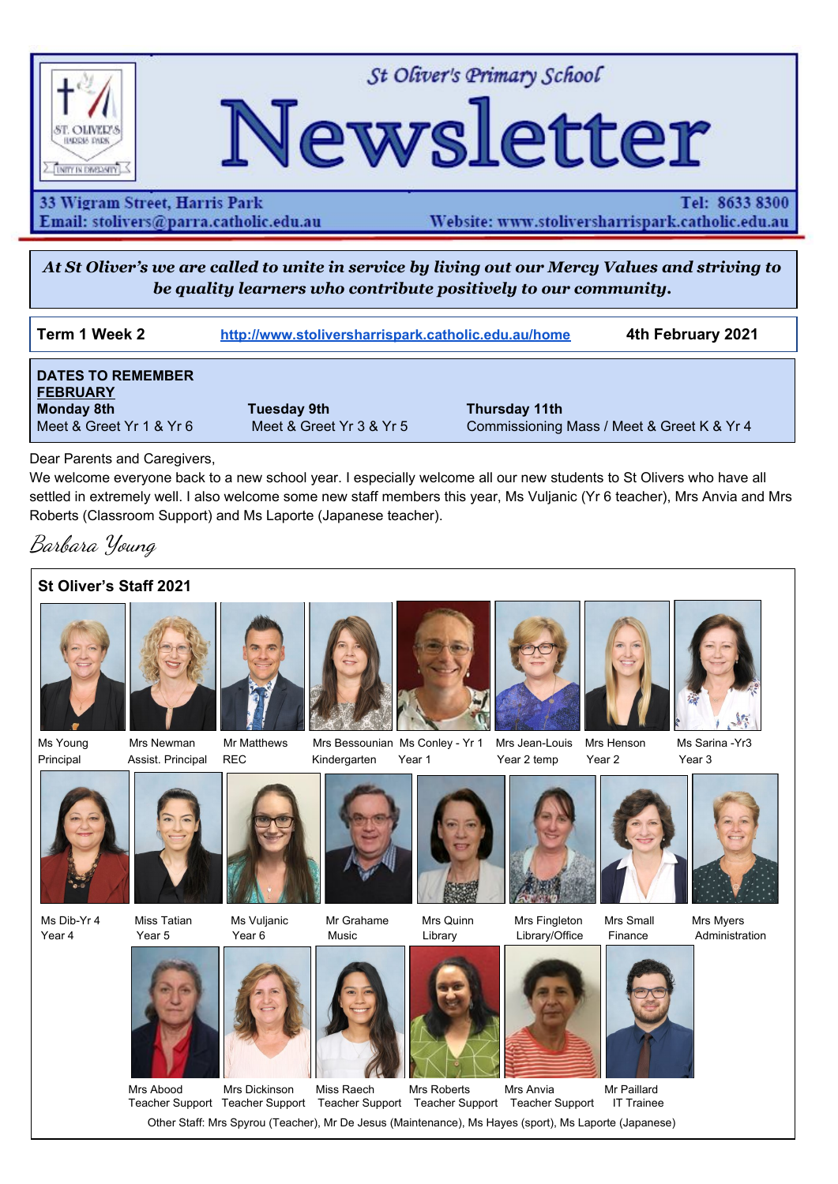

St Oliver's Primary School

# Newsletter

33 Wigram Street, Harris Park Email: stolivers@parra.catholic.edu.au Website: www.stoliversharrispark.catholic.edu.au

Tel: 8633 8300

At St Oliver's we are called to unite in service by living out our Mercy Values and striving to *be quality learners who contribute positively to our community.*

|--|

**Term 1 Week 2 [http://www.stoliversharrispark.catholic.edu.au/home](http://www.stoliversharrispark.catholic.edu.au/) 4th February 2021**

| <b>DATES TO REMEMBER</b><br><b>FEBRUARY</b> |                          |                                            |
|---------------------------------------------|--------------------------|--------------------------------------------|
| Monday 8th                                  | Tuesday 9th              | Thursday 11th                              |
| Meet & Greet Yr 1 & Yr 6                    | Meet & Greet Yr 3 & Yr 5 | Commissioning Mass / Meet & Greet K & Yr 4 |

Dear Parents and Caregivers,

We welcome everyone back to a new school year. I especially welcome all our new students to St Olivers who have all settled in extremely well. I also welcome some new staff members this year, Ms Vuljanic (Yr 6 teacher), Mrs Anvia and Mrs Roberts (Classroom Support) and Ms Laporte (Japanese teacher).

Barbara Young



Mrs Abood Mrs Dickinson Miss Raech Mrs Roberts Mrs Anvia Mr Paillard

Teacher Support Teacher Support Teacher Support Teacher Support Teacher Support IT Trainee Other Staff: Mrs Spyrou (Teacher), Mr De Jesus (Maintenance), Ms Hayes (sport), Ms Laporte (Japanese)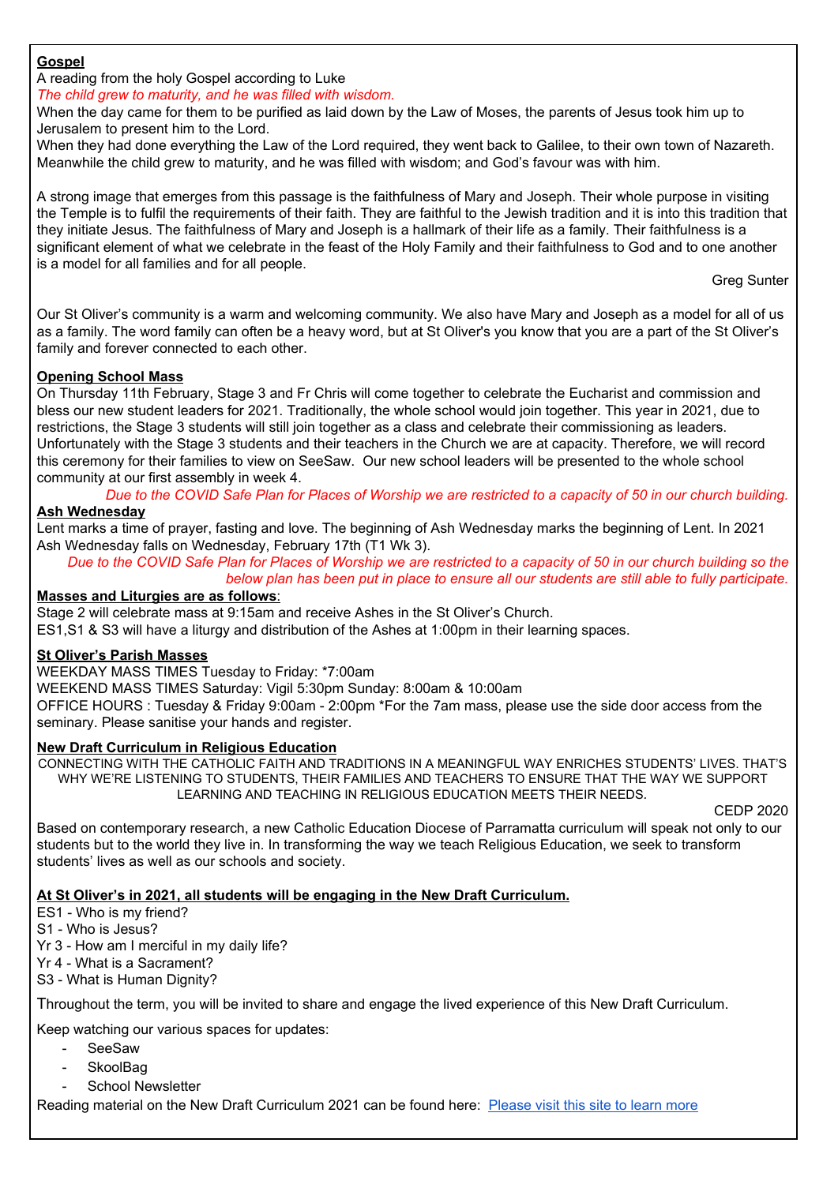### **Gospel**

# A reading from the holy Gospel according to Luke

## *The child grew to maturity, and he was filled with wisdom.*

When the day came for them to be purified as laid down by the Law of Moses, the parents of Jesus took him up to Jerusalem to present him to the Lord.

When they had done everything the Law of the Lord required, they went back to Galilee, to their own town of Nazareth. Meanwhile the child grew to maturity, and he was filled with wisdom; and God's favour was with him.

A strong image that emerges from this passage is the faithfulness of Mary and Joseph. Their whole purpose in visiting the Temple is to fulfil the requirements of their faith. They are faithful to the Jewish tradition and it is into this tradition that they initiate Jesus. The faithfulness of Mary and Joseph is a hallmark of their life as a family. Their faithfulness is a significant element of what we celebrate in the feast of the Holy Family and their faithfulness to God and to one another is a model for all families and for all people.

Greg Sunter

Our St Oliver's community is a warm and welcoming community. We also have Mary and Joseph as a model for all of us as a family. The word family can often be a heavy word, but at St Oliver's you know that you are a part of the St Oliver's family and forever connected to each other.

#### **Opening School Mass**

On Thursday 11th February, Stage 3 and Fr Chris will come together to celebrate the Eucharist and commission and bless our new student leaders for 2021. Traditionally, the whole school would join together. This year in 2021, due to restrictions, the Stage 3 students will still join together as a class and celebrate their commissioning as leaders. Unfortunately with the Stage 3 students and their teachers in the Church we are at capacity. Therefore, we will record this ceremony for their families to view on SeeSaw. Our new school leaders will be presented to the whole school community at our first assembly in week 4.

#### Due to the COVID Safe Plan for Places of Worship we are restricted to a capacity of 50 in our church building. **Ash Wednesday**

Lent marks a time of prayer, fasting and love. The beginning of Ash Wednesday marks the beginning of Lent. In 2021 Ash Wednesday falls on Wednesday, February 17th (T1 Wk 3).

Due to the COVID Safe Plan for Places of Worship we are restricted to a capacity of 50 in our church building so the *below plan has been put in place to ensure all our students are still able to fully participate.*

#### **Masses and Liturgies are as follows**:

Stage 2 will celebrate mass at 9:15am and receive Ashes in the St Oliver's Church.

ES1,S1 & S3 will have a liturgy and distribution of the Ashes at 1:00pm in their learning spaces.

### **St Oliver's Parish Masses**

WEEKDAY MASS TIMES Tuesday to Friday: \*7:00am

WEEKEND MASS TIMES Saturday: Vigil 5:30pm Sunday: 8:00am & 10:00am

OFFICE HOURS : Tuesday & Friday 9:00am - 2:00pm \*For the 7am mass, please use the side door access from the seminary. Please sanitise your hands and register.

## **New Draft Curriculum in Religious Education**

CONNECTING WITH THE CATHOLIC FAITH AND TRADITIONS IN A MEANINGFUL WAY ENRICHES STUDENTS' LIVES. THAT'S WHY WE'RE LISTENING TO STUDENTS, THEIR FAMILIES AND TEACHERS TO ENSURE THAT THE WAY WE SUPPORT LEARNING AND TEACHING IN RELIGIOUS EDUCATION MEETS THEIR NEEDS*.*

CEDP 2020

Based on contemporary research, a new Catholic Education Diocese of Parramatta curriculum will speak not only to our students but to the world they live in. In transforming the way we teach Religious Education, we seek to transform students' lives as well as our schools and society.

## **At St Oliver's in 2021, all students will be engaging in the New Draft Curriculum.**

ES1 - Who is my friend?

S1 - Who is Jesus?

Yr 3 - How am I merciful in my daily life?

Yr 4 - What is a Sacrament?

S3 - What is Human Dignity?

Throughout the term, you will be invited to share and engage the lived experience of this New Draft Curriculum.

Keep watching our various spaces for updates:

- **SeeSaw**
- SkoolBag
- School Newsletter

Reading material on the New Draft Curriculum 2021 can be found here: [Please](https://www.parra.catholic.edu.au/News%20and%20Events/Planning%20for%20the%20Future/New%20curriculum%20to%20connect%20faith%20learning%20and%20life) visit this site to learn more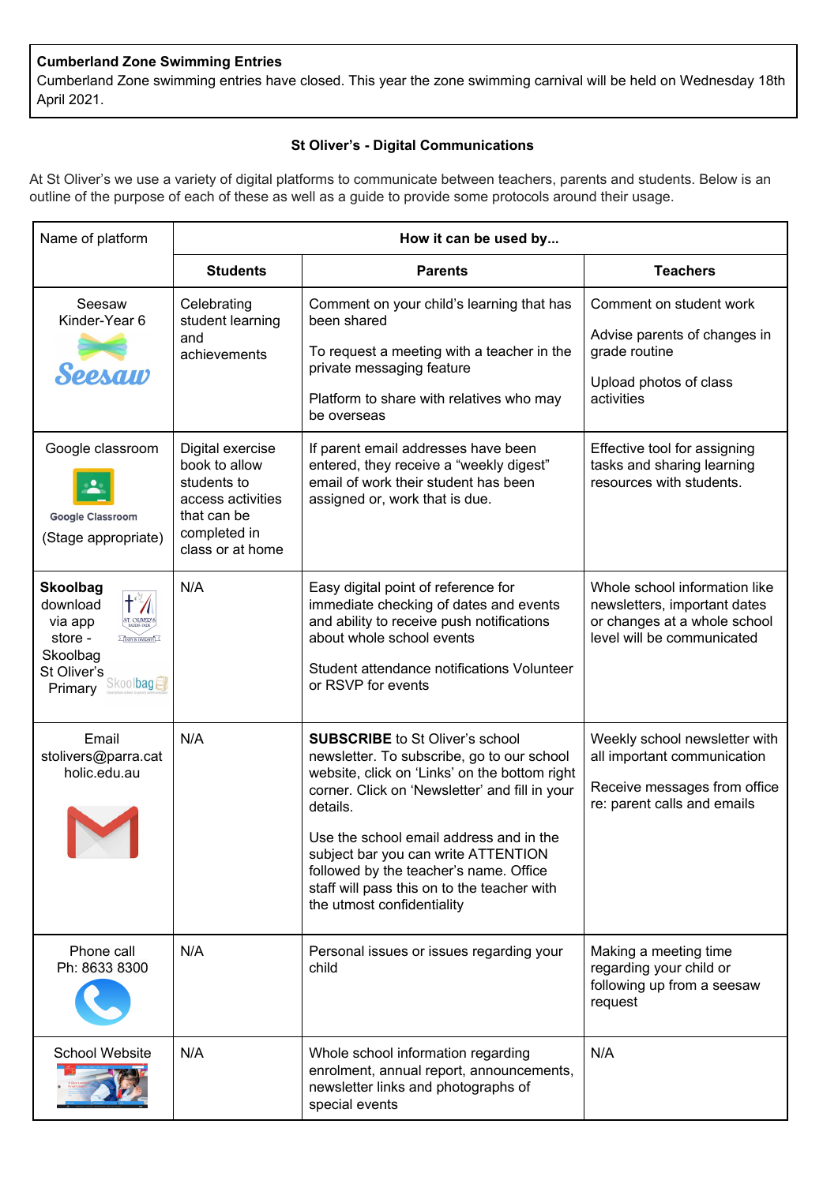## **Cumberland Zone Swimming Entries**

Cumberland Zone swimming entries have closed. This year the zone swimming carnival will be held on Wednesday 18th April 2021.

#### **St Oliver's - Digital Communications**

At St Oliver's we use a variety of digital platforms to communicate between teachers, parents and students. Below is an outline of the purpose of each of these as well as a guide to provide some protocols around their usage.

| Name of platform                                                                                                                                                | How it can be used by                                                                                                    |                                                                                                                                                                                                                                                                                                                                                                                                              |                                                                                                                             |  |
|-----------------------------------------------------------------------------------------------------------------------------------------------------------------|--------------------------------------------------------------------------------------------------------------------------|--------------------------------------------------------------------------------------------------------------------------------------------------------------------------------------------------------------------------------------------------------------------------------------------------------------------------------------------------------------------------------------------------------------|-----------------------------------------------------------------------------------------------------------------------------|--|
|                                                                                                                                                                 | <b>Students</b>                                                                                                          | <b>Parents</b>                                                                                                                                                                                                                                                                                                                                                                                               | <b>Teachers</b>                                                                                                             |  |
| Seesaw<br>Kinder-Year 6<br>Seesaw                                                                                                                               | Celebrating<br>student learning<br>and<br>achievements                                                                   | Comment on your child's learning that has<br>been shared<br>To request a meeting with a teacher in the<br>private messaging feature<br>Platform to share with relatives who may<br>be overseas                                                                                                                                                                                                               | Comment on student work<br>Advise parents of changes in<br>grade routine<br>Upload photos of class<br>activities            |  |
| Google classroom<br><b>Google Classroom</b><br>(Stage appropriate)                                                                                              | Digital exercise<br>book to allow<br>students to<br>access activities<br>that can be<br>completed in<br>class or at home | If parent email addresses have been<br>entered, they receive a "weekly digest"<br>email of work their student has been<br>assigned or, work that is due.                                                                                                                                                                                                                                                     | Effective tool for assigning<br>tasks and sharing learning<br>resources with students.                                      |  |
| <b>Skoolbag</b><br>†∛<br>download<br><b>ST. OLIVER'S</b><br>via app<br>store -<br>$\sum$ (INITY IN DIVERNITY)<br>Skoolbag<br>St Oliver's<br>Skoolbag<br>Primary | N/A                                                                                                                      | Easy digital point of reference for<br>immediate checking of dates and events<br>and ability to receive push notifications<br>about whole school events<br>Student attendance notifications Volunteer<br>or RSVP for events                                                                                                                                                                                  | Whole school information like<br>newsletters, important dates<br>or changes at a whole school<br>level will be communicated |  |
| Email<br>stolivers@parra.cat<br>holic.edu.au                                                                                                                    | N/A                                                                                                                      | <b>SUBSCRIBE</b> to St Oliver's school<br>newsletter. To subscribe, go to our school<br>website, click on 'Links' on the bottom right<br>corner. Click on 'Newsletter' and fill in your<br>details.<br>Use the school email address and in the<br>subject bar you can write ATTENTION<br>followed by the teacher's name. Office<br>staff will pass this on to the teacher with<br>the utmost confidentiality | Weekly school newsletter with<br>all important communication<br>Receive messages from office<br>re: parent calls and emails |  |
| Phone call<br>Ph: 8633 8300                                                                                                                                     | N/A                                                                                                                      | Personal issues or issues regarding your<br>child                                                                                                                                                                                                                                                                                                                                                            | Making a meeting time<br>regarding your child or<br>following up from a seesaw<br>request                                   |  |
| <b>School Website</b>                                                                                                                                           | N/A                                                                                                                      | Whole school information regarding<br>enrolment, annual report, announcements,<br>newsletter links and photographs of<br>special events                                                                                                                                                                                                                                                                      | N/A                                                                                                                         |  |